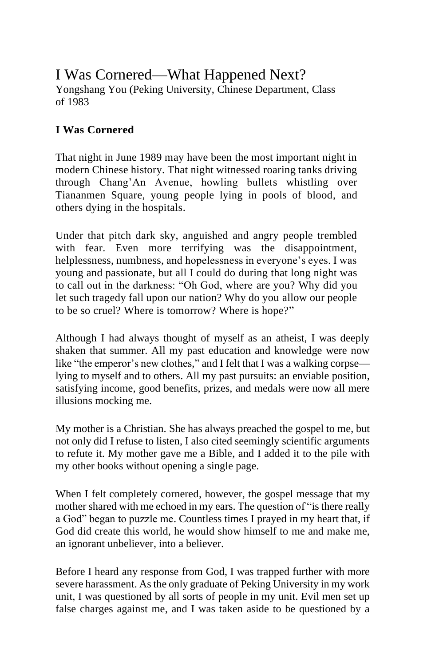# I Was Cornered—What Happened Next?

Yongshang You (Peking University, Chinese Department, Class of 1983

## **I Was Cornered**

That night in June 1989 may have been the most important night in modern Chinese history. That night witnessed roaring tanks driving through Chang'An Avenue, howling bullets whistling over Tiananmen Square, young people lying in pools of blood, and others dying in the hospitals.

Under that pitch dark sky, anguished and angry people trembled with fear. Even more terrifying was the disappointment, helplessness, numbness, and hopelessness in everyone's eyes. I was young and passionate, but all I could do during that long night was to call out in the darkness: "Oh God, where are you? Why did you let such tragedy fall upon our nation? Why do you allow our people to be so cruel? Where is tomorrow? Where is hope?"

Although I had always thought of myself as an atheist, I was deeply shaken that summer. All my past education and knowledge were now like "the emperor's new clothes," and I felt that I was a walking corpse lying to myself and to others. All my past pursuits: an enviable position, satisfying income, good benefits, prizes, and medals were now all mere illusions mocking me.

My mother is a Christian. She has always preached the gospel to me, but not only did I refuse to listen, I also cited seemingly scientific arguments to refute it. My mother gave me a Bible, and I added it to the pile with my other books without opening a single page.

When I felt completely cornered, however, the gospel message that my mother shared with me echoed in my ears. The question of "is there really a God" began to puzzle me. Countless times I prayed in my heart that, if God did create this world, he would show himself to me and make me, an ignorant unbeliever, into a believer.

Before I heard any response from God, I was trapped further with more severe harassment. As the only graduate of Peking University in my work unit, I was questioned by all sorts of people in my unit. Evil men set up false charges against me, and I was taken aside to be questioned by a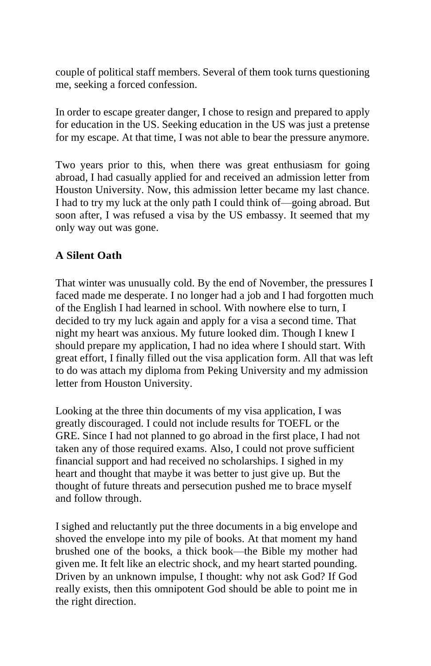couple of political staff members. Several of them took turns questioning me, seeking a forced confession.

In order to escape greater danger, I chose to resign and prepared to apply for education in the US. Seeking education in the US was just a pretense for my escape. At that time, I was not able to bear the pressure anymore.

Two years prior to this, when there was great enthusiasm for going abroad, I had casually applied for and received an admission letter from Houston University. Now, this admission letter became my last chance. I had to try my luck at the only path I could think of—going abroad. But soon after, I was refused a visa by the US embassy. It seemed that my only way out was gone.

# **A Silent Oath**

That winter was unusually cold. By the end of November, the pressures I faced made me desperate. I no longer had a job and I had forgotten much of the English I had learned in school. With nowhere else to turn, I decided to try my luck again and apply for a visa a second time. That night my heart was anxious. My future looked dim. Though I knew I should prepare my application, I had no idea where I should start. With great effort, I finally filled out the visa application form. All that was left to do was attach my diploma from Peking University and my admission letter from Houston University.

Looking at the three thin documents of my visa application, I was greatly discouraged. I could not include results for TOEFL or the GRE. Since I had not planned to go abroad in the first place, I had not taken any of those required exams. Also, I could not prove sufficient financial support and had received no scholarships. I sighed in my heart and thought that maybe it was better to just give up. But the thought of future threats and persecution pushed me to brace myself and follow through.

I sighed and reluctantly put the three documents in a big envelope and shoved the envelope into my pile of books. At that moment my hand brushed one of the books, a thick book—the Bible my mother had given me. It felt like an electric shock, and my heart started pounding. Driven by an unknown impulse, I thought: why not ask God? If God really exists, then this omnipotent God should be able to point me in the right direction.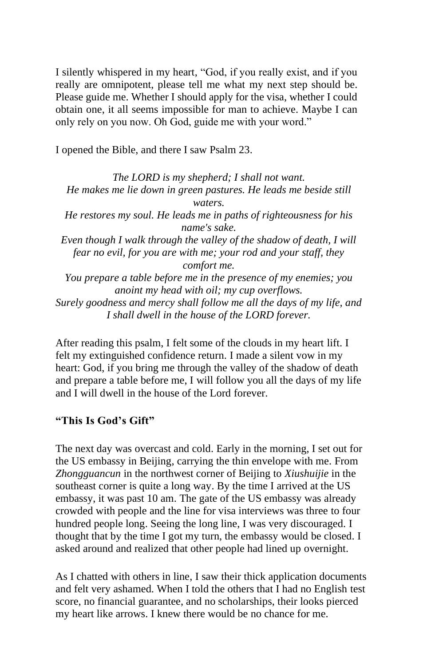I silently whispered in my heart, "God, if you really exist, and if you really are omnipotent, please tell me what my next step should be. Please guide me. Whether I should apply for the visa, whether I could obtain one, it all seems impossible for man to achieve. Maybe I can only rely on you now. Oh God, guide me with your word."

I opened the Bible, and there I saw Psalm 23.

*The LORD is my shepherd; I shall not want. He makes me lie down in green pastures. He leads me beside still waters. He restores my soul. He leads me in paths of righteousness for his name's sake. Even though I walk through the valley of the shadow of death, I will fear no evil, for you are with me; your rod and your staff, they comfort me. You prepare a table before me in the presence of my enemies; you anoint my head with oil; my cup overflows. Surely goodness and mercy shall follow me all the days of my life, and I shall dwell in the house of the LORD forever.*

After reading this psalm, I felt some of the clouds in my heart lift. I felt my extinguished confidence return. I made a silent vow in my heart: God, if you bring me through the valley of the shadow of death and prepare a table before me, I will follow you all the days of my life and I will dwell in the house of the Lord forever.

#### **"This Is God's Gift"**

The next day was overcast and cold. Early in the morning, I set out for the US embassy in Beijing, carrying the thin envelope with me. From *Zhongguancun* in the northwest corner of Beijing to *Xiushuijie* in the southeast corner is quite a long way. By the time I arrived at the US embassy, it was past 10 am. The gate of the US embassy was already crowded with people and the line for visa interviews was three to four hundred people long. Seeing the long line, I was very discouraged. I thought that by the time I got my turn, the embassy would be closed. I asked around and realized that other people had lined up overnight.

As I chatted with others in line, I saw their thick application documents and felt very ashamed. When I told the others that I had no English test score, no financial guarantee, and no scholarships, their looks pierced my heart like arrows. I knew there would be no chance for me.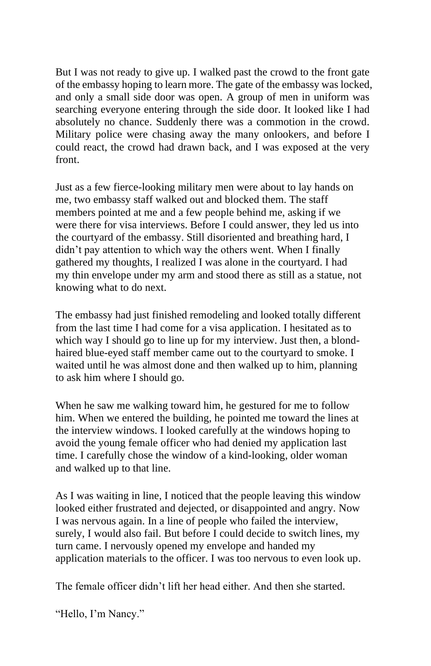But I was not ready to give up. I walked past the crowd to the front gate of the embassy hoping to learn more. The gate of the embassy was locked, and only a small side door was open. A group of men in uniform was searching everyone entering through the side door. It looked like I had absolutely no chance. Suddenly there was a commotion in the crowd. Military police were chasing away the many onlookers, and before I could react, the crowd had drawn back, and I was exposed at the very front.

Just as a few fierce-looking military men were about to lay hands on me, two embassy staff walked out and blocked them. The staff members pointed at me and a few people behind me, asking if we were there for visa interviews. Before I could answer, they led us into the courtyard of the embassy. Still disoriented and breathing hard, I didn't pay attention to which way the others went. When I finally gathered my thoughts, I realized I was alone in the courtyard. I had my thin envelope under my arm and stood there as still as a statue, not knowing what to do next.

The embassy had just finished remodeling and looked totally different from the last time I had come for a visa application. I hesitated as to which way I should go to line up for my interview. Just then, a blondhaired blue-eyed staff member came out to the courtyard to smoke. I waited until he was almost done and then walked up to him, planning to ask him where I should go.

When he saw me walking toward him, he gestured for me to follow him. When we entered the building, he pointed me toward the lines at the interview windows. I looked carefully at the windows hoping to avoid the young female officer who had denied my application last time. I carefully chose the window of a kind-looking, older woman and walked up to that line.

As I was waiting in line, I noticed that the people leaving this window looked either frustrated and dejected, or disappointed and angry. Now I was nervous again. In a line of people who failed the interview, surely, I would also fail. But before I could decide to switch lines, my turn came. I nervously opened my envelope and handed my application materials to the officer. I was too nervous to even look up.

The female officer didn't lift her head either. And then she started.

"Hello, I'm Nancy."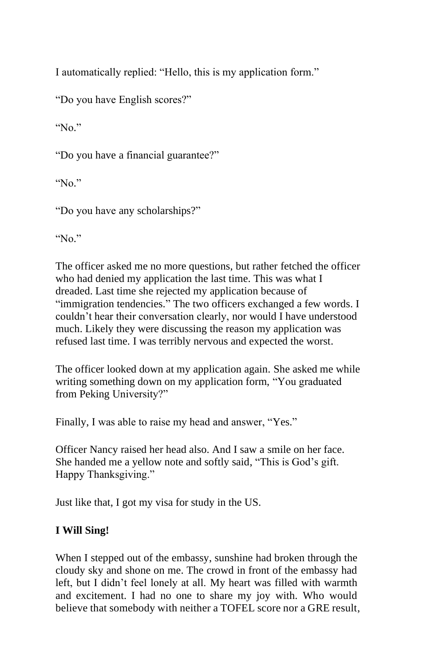I automatically replied: "Hello, this is my application form."

"Do you have English scores?"

"No."

"Do you have a financial guarantee?"

"No."

"Do you have any scholarships?"

"No."

The officer asked me no more questions, but rather fetched the officer who had denied my application the last time. This was what I dreaded. Last time she rejected my application because of "immigration tendencies." The two officers exchanged a few words. I couldn't hear their conversation clearly, nor would I have understood much. Likely they were discussing the reason my application was refused last time. I was terribly nervous and expected the worst.

The officer looked down at my application again. She asked me while writing something down on my application form, "You graduated from Peking University?"

Finally, I was able to raise my head and answer, "Yes."

Officer Nancy raised her head also. And I saw a smile on her face. She handed me a yellow note and softly said, "This is God's gift. Happy Thanksgiving."

Just like that, I got my visa for study in the US.

## **I Will Sing!**

When I stepped out of the embassy, sunshine had broken through the cloudy sky and shone on me. The crowd in front of the embassy had left, but I didn't feel lonely at all. My heart was filled with warmth and excitement. I had no one to share my joy with. Who would believe that somebody with neither a TOFEL score nor a GRE result,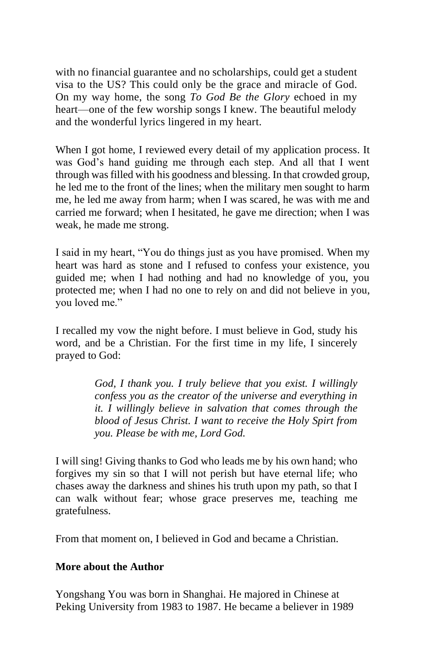with no financial guarantee and no scholarships, could get a student visa to the US? This could only be the grace and miracle of God. On my way home, the song *To God Be the Glory* echoed in my heart—one of the few worship songs I knew. The beautiful melody and the wonderful lyrics lingered in my heart.

When I got home, I reviewed every detail of my application process. It was God's hand guiding me through each step. And all that I went through was filled with his goodness and blessing. In that crowded group, he led me to the front of the lines; when the military men sought to harm me, he led me away from harm; when I was scared, he was with me and carried me forward; when I hesitated, he gave me direction; when I was weak, he made me strong.

I said in my heart, "You do things just as you have promised. When my heart was hard as stone and I refused to confess your existence, you guided me; when I had nothing and had no knowledge of you, you protected me; when I had no one to rely on and did not believe in you, you loved me."

I recalled my vow the night before. I must believe in God, study his word, and be a Christian. For the first time in my life, I sincerely prayed to God:

> *God, I thank you. I truly believe that you exist. I willingly confess you as the creator of the universe and everything in it. I willingly believe in salvation that comes through the blood of Jesus Christ. I want to receive the Holy Spirt from you. Please be with me, Lord God.*

I will sing! Giving thanks to God who leads me by his own hand; who forgives my sin so that I will not perish but have eternal life; who chases away the darkness and shines his truth upon my path, so that I can walk without fear; whose grace preserves me, teaching me gratefulness.

From that moment on, I believed in God and became a Christian.

#### **More about the Author**

Yongshang You was born in Shanghai. He majored in Chinese at Peking University from 1983 to 1987. He became a believer in 1989